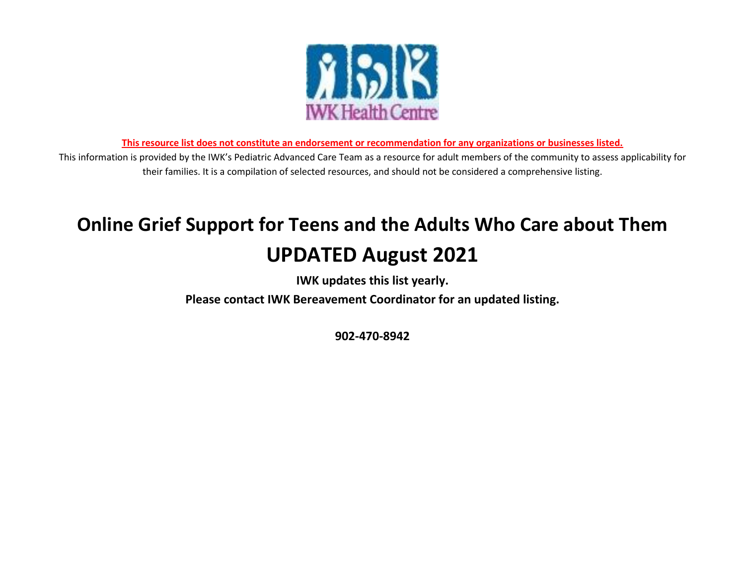

**This resource list does not constitute an endorsement or recommendation for any organizations or businesses listed.** 

This information is provided by the IWK's Pediatric Advanced Care Team as a resource for adult members of the community to assess applicability for their families. It is a compilation of selected resources, and should not be considered a comprehensive listing.

# **Online Grief Support for Teens and the Adults Who Care about Them UPDATED August 2021**

**IWK updates this list yearly.** 

**Please contact IWK Bereavement Coordinator for an updated listing.**

**902-470-8942**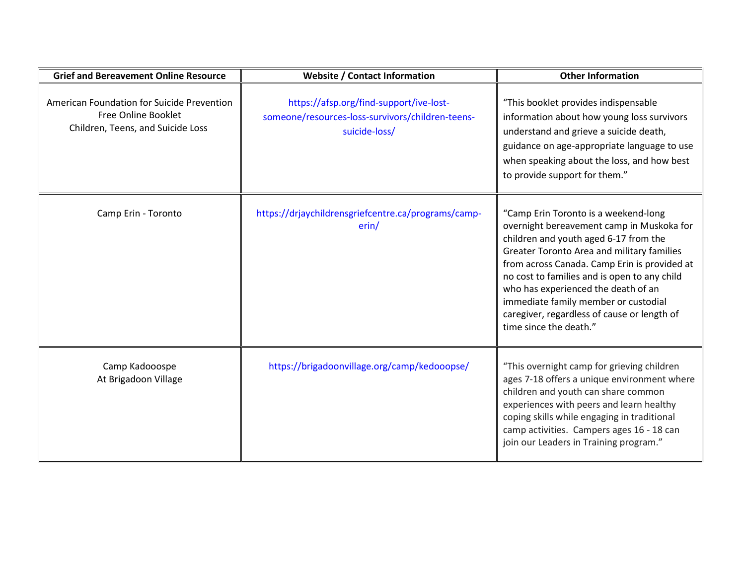| <b>Grief and Bereavement Online Resource</b>                                                           | <b>Website / Contact Information</b>                                                                         | <b>Other Information</b>                                                                                                                                                                                                                                                                                                                                                                                                         |
|--------------------------------------------------------------------------------------------------------|--------------------------------------------------------------------------------------------------------------|----------------------------------------------------------------------------------------------------------------------------------------------------------------------------------------------------------------------------------------------------------------------------------------------------------------------------------------------------------------------------------------------------------------------------------|
| American Foundation for Suicide Prevention<br>Free Online Booklet<br>Children, Teens, and Suicide Loss | https://afsp.org/find-support/ive-lost-<br>someone/resources-loss-survivors/children-teens-<br>suicide-loss/ | "This booklet provides indispensable<br>information about how young loss survivors<br>understand and grieve a suicide death,<br>guidance on age-appropriate language to use<br>when speaking about the loss, and how best<br>to provide support for them."                                                                                                                                                                       |
| Camp Erin - Toronto                                                                                    | https://drjaychildrensgriefcentre.ca/programs/camp-<br>erin/                                                 | "Camp Erin Toronto is a weekend-long<br>overnight bereavement camp in Muskoka for<br>children and youth aged 6-17 from the<br>Greater Toronto Area and military families<br>from across Canada. Camp Erin is provided at<br>no cost to families and is open to any child<br>who has experienced the death of an<br>immediate family member or custodial<br>caregiver, regardless of cause or length of<br>time since the death." |
| Camp Kadooospe<br>At Brigadoon Village                                                                 | https://brigadoonvillage.org/camp/kedooopse/                                                                 | "This overnight camp for grieving children<br>ages 7-18 offers a unique environment where<br>children and youth can share common<br>experiences with peers and learn healthy<br>coping skills while engaging in traditional<br>camp activities. Campers ages 16 - 18 can<br>join our Leaders in Training program."                                                                                                               |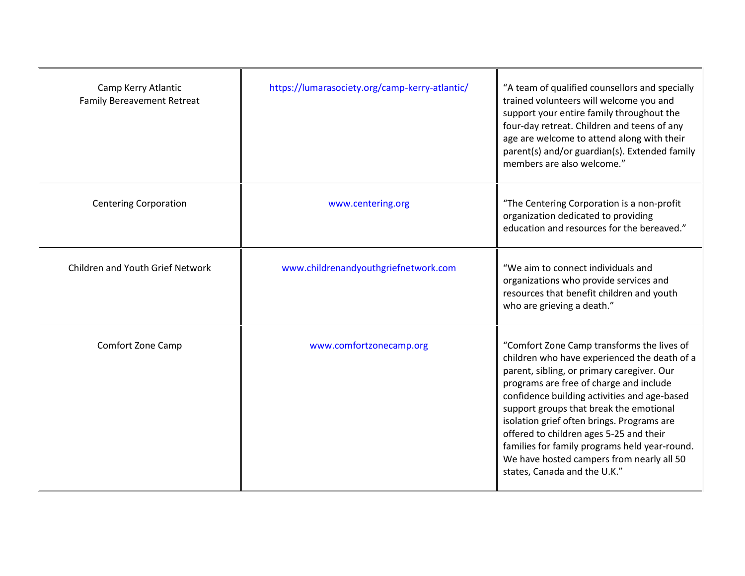| Camp Kerry Atlantic<br><b>Family Bereavement Retreat</b> | https://lumarasociety.org/camp-kerry-atlantic/ | "A team of qualified counsellors and specially<br>trained volunteers will welcome you and<br>support your entire family throughout the<br>four-day retreat. Children and teens of any<br>age are welcome to attend along with their<br>parent(s) and/or guardian(s). Extended family<br>members are also welcome."                                                                                                                                                                                    |
|----------------------------------------------------------|------------------------------------------------|-------------------------------------------------------------------------------------------------------------------------------------------------------------------------------------------------------------------------------------------------------------------------------------------------------------------------------------------------------------------------------------------------------------------------------------------------------------------------------------------------------|
| <b>Centering Corporation</b>                             | www.centering.org                              | "The Centering Corporation is a non-profit<br>organization dedicated to providing<br>education and resources for the bereaved."                                                                                                                                                                                                                                                                                                                                                                       |
| Children and Youth Grief Network                         | www.childrenandyouthgriefnetwork.com           | "We aim to connect individuals and<br>organizations who provide services and<br>resources that benefit children and youth<br>who are grieving a death."                                                                                                                                                                                                                                                                                                                                               |
| <b>Comfort Zone Camp</b>                                 | www.comfortzonecamp.org                        | "Comfort Zone Camp transforms the lives of<br>children who have experienced the death of a<br>parent, sibling, or primary caregiver. Our<br>programs are free of charge and include<br>confidence building activities and age-based<br>support groups that break the emotional<br>isolation grief often brings. Programs are<br>offered to children ages 5-25 and their<br>families for family programs held year-round.<br>We have hosted campers from nearly all 50<br>states, Canada and the U.K." |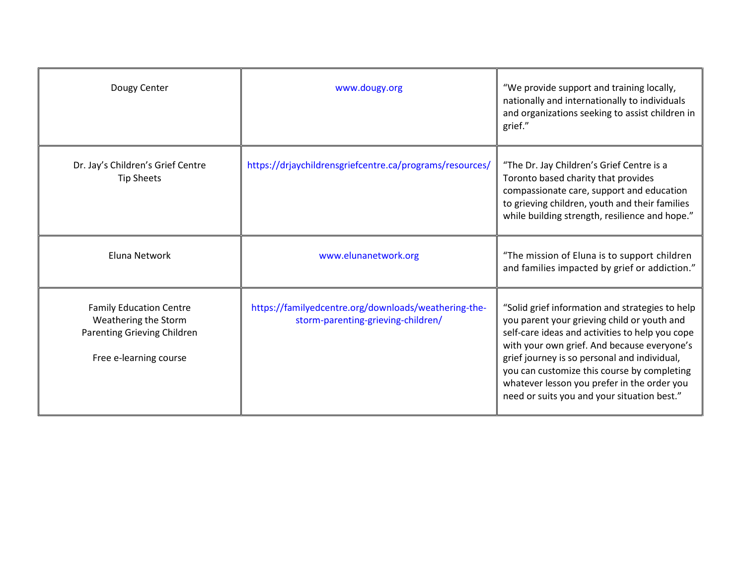| Dougy Center                                                                                                    | www.dougy.org                                                                              | "We provide support and training locally,<br>nationally and internationally to individuals<br>and organizations seeking to assist children in<br>grief."                                                                                                                                                                                                                                      |
|-----------------------------------------------------------------------------------------------------------------|--------------------------------------------------------------------------------------------|-----------------------------------------------------------------------------------------------------------------------------------------------------------------------------------------------------------------------------------------------------------------------------------------------------------------------------------------------------------------------------------------------|
| Dr. Jay's Children's Grief Centre<br><b>Tip Sheets</b>                                                          | https://drjaychildrensgriefcentre.ca/programs/resources/                                   | "The Dr. Jay Children's Grief Centre is a<br>Toronto based charity that provides<br>compassionate care, support and education<br>to grieving children, youth and their families<br>while building strength, resilience and hope."                                                                                                                                                             |
| Eluna Network                                                                                                   | www.elunanetwork.org                                                                       | "The mission of Eluna is to support children<br>and families impacted by grief or addiction."                                                                                                                                                                                                                                                                                                 |
| <b>Family Education Centre</b><br>Weathering the Storm<br>Parenting Grieving Children<br>Free e-learning course | https://familyedcentre.org/downloads/weathering-the-<br>storm-parenting-grieving-children/ | "Solid grief information and strategies to help<br>you parent your grieving child or youth and<br>self-care ideas and activities to help you cope<br>with your own grief. And because everyone's<br>grief journey is so personal and individual,<br>you can customize this course by completing<br>whatever lesson you prefer in the order you<br>need or suits you and your situation best." |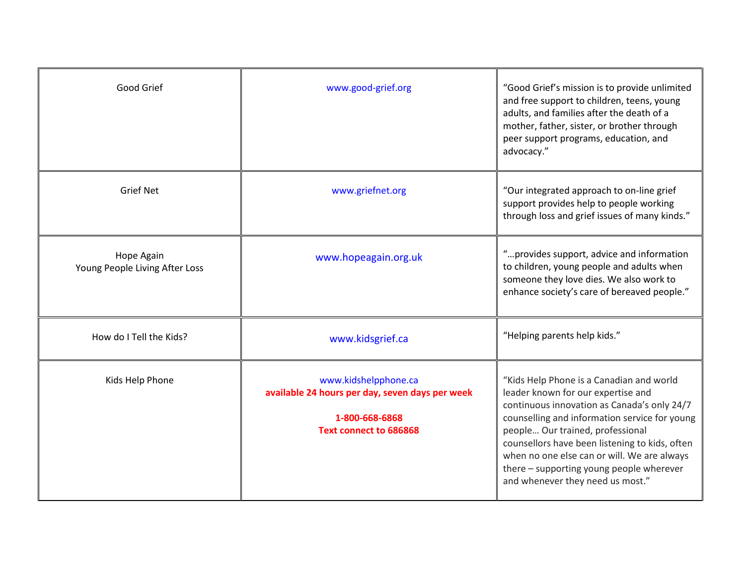| Good Grief                                   | www.good-grief.org                                                                                                         | "Good Grief's mission is to provide unlimited<br>and free support to children, teens, young<br>adults, and families after the death of a<br>mother, father, sister, or brother through<br>peer support programs, education, and<br>advocacy."                                                                                                                                                       |
|----------------------------------------------|----------------------------------------------------------------------------------------------------------------------------|-----------------------------------------------------------------------------------------------------------------------------------------------------------------------------------------------------------------------------------------------------------------------------------------------------------------------------------------------------------------------------------------------------|
| <b>Grief Net</b>                             | www.griefnet.org                                                                                                           | "Our integrated approach to on-line grief<br>support provides help to people working<br>through loss and grief issues of many kinds."                                                                                                                                                                                                                                                               |
| Hope Again<br>Young People Living After Loss | www.hopeagain.org.uk                                                                                                       | "provides support, advice and information<br>to children, young people and adults when<br>someone they love dies. We also work to<br>enhance society's care of bereaved people."                                                                                                                                                                                                                    |
| How do I Tell the Kids?                      | www.kidsgrief.ca                                                                                                           | "Helping parents help kids."                                                                                                                                                                                                                                                                                                                                                                        |
| Kids Help Phone                              | www.kidshelpphone.ca<br>available 24 hours per day, seven days per week<br>1-800-668-6868<br><b>Text connect to 686868</b> | "Kids Help Phone is a Canadian and world<br>leader known for our expertise and<br>continuous innovation as Canada's only 24/7<br>counselling and information service for young<br>people Our trained, professional<br>counsellors have been listening to kids, often<br>when no one else can or will. We are always<br>there - supporting young people wherever<br>and whenever they need us most." |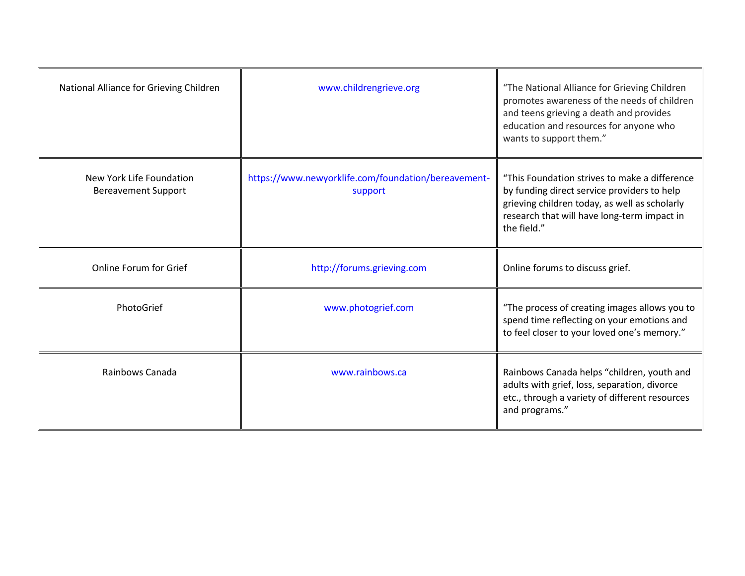| National Alliance for Grieving Children                | www.childrengrieve.org                                         | "The National Alliance for Grieving Children<br>promotes awareness of the needs of children<br>and teens grieving a death and provides<br>education and resources for anyone who<br>wants to support them." |
|--------------------------------------------------------|----------------------------------------------------------------|-------------------------------------------------------------------------------------------------------------------------------------------------------------------------------------------------------------|
| New York Life Foundation<br><b>Bereavement Support</b> | https://www.newyorklife.com/foundation/bereavement-<br>support | "This Foundation strives to make a difference<br>by funding direct service providers to help<br>grieving children today, as well as scholarly<br>research that will have long-term impact in<br>the field." |
| Online Forum for Grief                                 | http://forums.grieving.com                                     | Online forums to discuss grief.                                                                                                                                                                             |
| PhotoGrief                                             | www.photogrief.com                                             | "The process of creating images allows you to<br>spend time reflecting on your emotions and<br>to feel closer to your loved one's memory."                                                                  |
| Rainbows Canada                                        | www.rainbows.ca                                                | Rainbows Canada helps "children, youth and<br>adults with grief, loss, separation, divorce<br>etc., through a variety of different resources<br>and programs."                                              |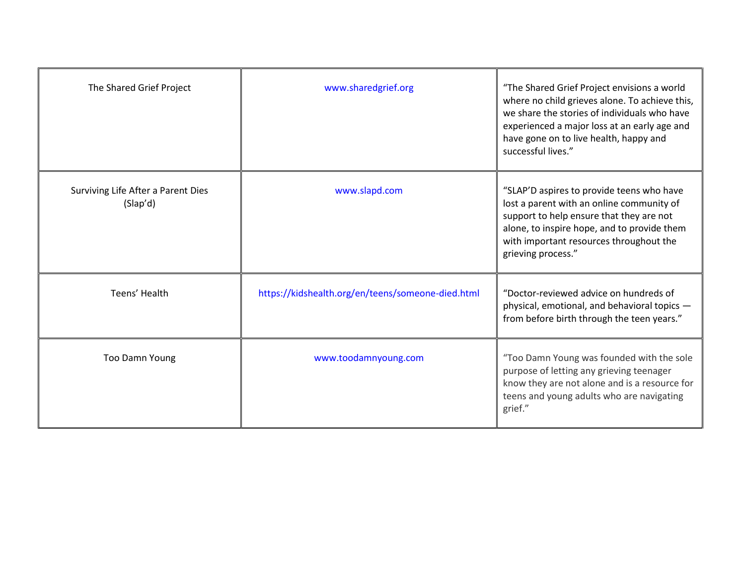| The Shared Grief Project                       | www.sharedgrief.org                               | "The Shared Grief Project envisions a world<br>where no child grieves alone. To achieve this,<br>we share the stories of individuals who have<br>experienced a major loss at an early age and<br>have gone on to live health, happy and<br>successful lives." |
|------------------------------------------------|---------------------------------------------------|---------------------------------------------------------------------------------------------------------------------------------------------------------------------------------------------------------------------------------------------------------------|
| Surviving Life After a Parent Dies<br>(Slap'd) | www.slapd.com                                     | "SLAP'D aspires to provide teens who have<br>lost a parent with an online community of<br>support to help ensure that they are not<br>alone, to inspire hope, and to provide them<br>with important resources throughout the<br>grieving process."            |
| Teens' Health                                  | https://kidshealth.org/en/teens/someone-died.html | "Doctor-reviewed advice on hundreds of<br>physical, emotional, and behavioral topics -<br>from before birth through the teen years."                                                                                                                          |
| <b>Too Damn Young</b>                          | www.toodamnyoung.com                              | "Too Damn Young was founded with the sole<br>purpose of letting any grieving teenager<br>know they are not alone and is a resource for<br>teens and young adults who are navigating<br>grief."                                                                |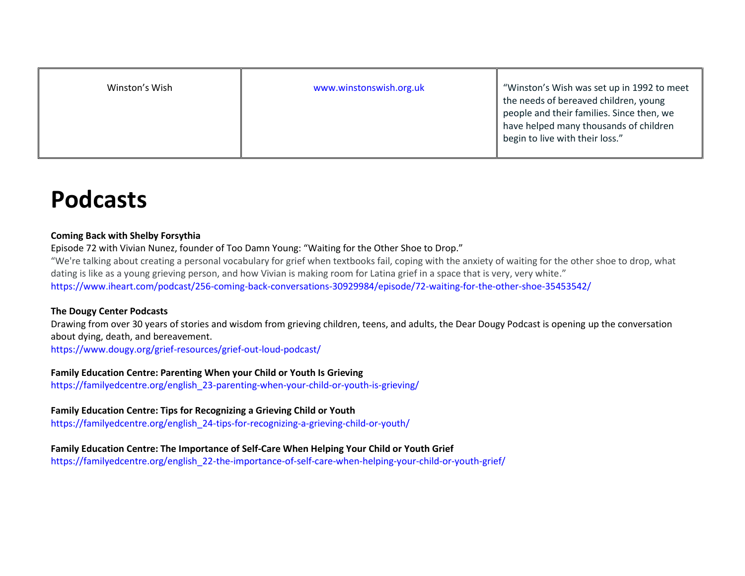| Winston's Wish | www.winstonswish.org.uk | "Winston's Wish was set up in 1992 to meet<br>the needs of bereaved children, young<br>people and their families. Since then, we<br>have helped many thousands of children<br>begin to live with their loss." |
|----------------|-------------------------|---------------------------------------------------------------------------------------------------------------------------------------------------------------------------------------------------------------|
|----------------|-------------------------|---------------------------------------------------------------------------------------------------------------------------------------------------------------------------------------------------------------|

# **Podcasts**

#### **Coming Back with Shelby Forsythia**

Episode 72 with Vivian Nunez, founder of Too Damn Young: "Waiting for the Other Shoe to Drop." "We're talking about creating a personal vocabulary for grief when textbooks fail, coping with the anxiety of waiting for the other shoe to drop, what dating is like as a young grieving person, and how Vivian is making room for Latina grief in a space that is very, very white." <https://www.iheart.com/podcast/256-coming-back-conversations-30929984/episode/72-waiting-for-the-other-shoe-35453542/>

### **The Dougy Center Podcasts**

Drawing from over 30 years of stories and wisdom from grieving children, teens, and adults, the Dear Dougy Podcast is opening up the conversation about dying, death, and bereavement.

<https://www.dougy.org/grief-resources/grief-out-loud-podcast/>

### **Family Education Centre: Parenting When your Child or Youth Is Grieving**

[https://familyedcentre.org/english\\_23-parenting-when-your-child-or-youth-is-grieving/](https://familyedcentre.org/english_23-parenting-when-your-child-or-youth-is-grieving/)

## **Family Education Centre: Tips for Recognizing a Grieving Child or Youth**

[https://familyedcentre.org/english\\_24-tips-for-recognizing-a-grieving-child-or-youth/](https://familyedcentre.org/english_24-tips-for-recognizing-a-grieving-child-or-youth/)

## **Family Education Centre: The Importance of Self-Care When Helping Your Child or Youth Grief**

[https://familyedcentre.org/english\\_22-the-importance-of-self-care-when-helping-your-child-or-youth-grief/](https://familyedcentre.org/english_22-the-importance-of-self-care-when-helping-your-child-or-youth-grief/)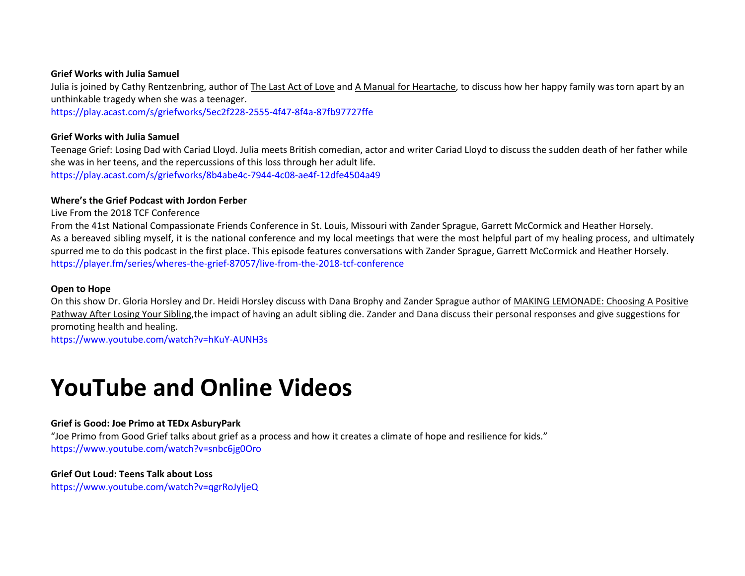#### **Grief Works with Julia Samuel**

Julia is joined by Cathy Rentzenbring, author of The Last Act of Love and A Manual for Heartache, to discuss how her happy family was torn apart by an unthinkable tragedy when she was a teenager.

<https://play.acast.com/s/griefworks/5ec2f228-2555-4f47-8f4a-87fb97727ffe>

#### **Grief Works with Julia Samuel**

Teenage Grief: Losing Dad with Cariad Lloyd. Julia meets British comedian, actor and writer Cariad Lloyd to discuss the sudden death of her father while she was in her teens, and the repercussions of this loss through her adult life. <https://play.acast.com/s/griefworks/8b4abe4c-7944-4c08-ae4f-12dfe4504a49>

#### **Where's the Grief Podcast with Jordon Ferber**

[Live From the 2018 TCF Conference](https://player.fm/series/wheres-the-grief-87057/live-from-the-2018-tcf-conference)

From the 41st National Compassionate Friends Conference in St. Louis, Missouri with Zander Sprague, Garrett McCormick and Heather Horsely. As a bereaved sibling myself, it is the national conference and my local meetings that were the most helpful part of my healing process, and ultimately spurred me to do this podcast in the first place. This episode features conversations with Zander Sprague, Garrett McCormick and Heather Horsely. <https://player.fm/series/wheres-the-grief-87057/live-from-the-2018-tcf-conference>

#### **Open to Hope**

On this show Dr. Gloria Horsley and Dr. Heidi Horsley discuss with Dana Brophy and Zander Sprague author of MAKING LEMONADE: Choosing A Positive Pathway After Losing Your Sibling, the impact of having an adult sibling die. Zander and Dana discuss their personal responses and give suggestions for promoting health and healing.

<https://www.youtube.com/watch?v=hKuY-AUNH3s>

# **YouTube and Online Videos**

#### **Grief is Good: Joe Primo at TEDx AsburyPark**

"Joe Primo from Good Grief talks about grief as a process and how it creates a climate of hope and resilience for kids." <https://www.youtube.com/watch?v=snbc6jg0Oro>

#### **Grief Out Loud: Teens Talk about Loss**

<https://www.youtube.com/watch?v=qgrRoJyljeQ>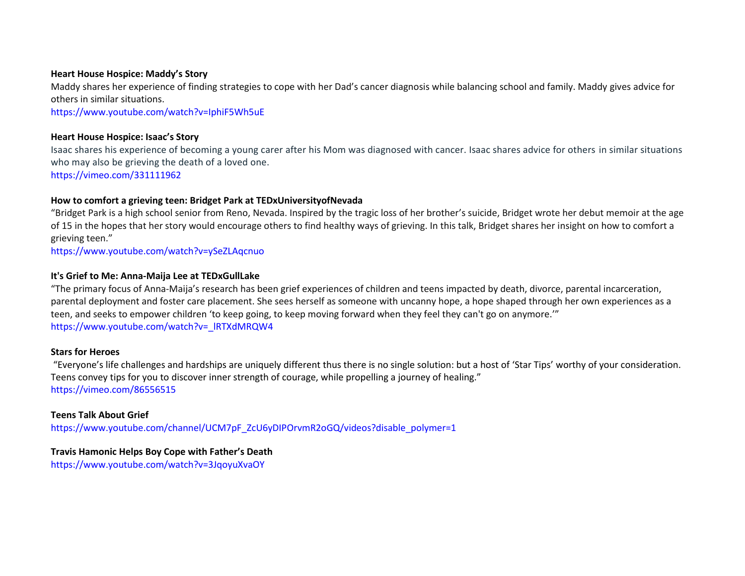#### **Heart House Hospice: Maddy's Story**

Maddy shares her experience of finding strategies to cope with her Dad's cancer diagnosis while balancing school and family. Maddy gives advice for others in similar situations.

<https://www.youtube.com/watch?v=IphiF5Wh5uE>

#### **Heart House Hospice: Isaac's Story**

Isaac shares his experience of becoming a young carer after his Mom was diagnosed with cancer. Isaac shares advice for others in similar situations who may also be grieving the death of a loved one. <https://vimeo.com/331111962>

#### **How to comfort a grieving teen: Bridget Park at TEDxUniversityofNevada**

"Bridget Park is a high school senior from Reno, Nevada. Inspired by the tragic loss of her brother's suicide, Bridget wrote her debut memoir at the age of 15 in the hopes that her story would encourage others to find healthy ways of grieving. In this talk, Bridget shares her insight on how to comfort a grieving teen."

<https://www.youtube.com/watch?v=ySeZLAqcnuo>

#### **It's Grief to Me: Anna-Maija Lee at TEDxGullLake**

"The primary focus of Anna-Maija's research has been grief experiences of children and teens impacted by death, divorce, parental incarceration, parental deployment and foster care placement. She sees herself as someone with uncanny hope, a hope shaped through her own experiences as a teen, and seeks to empower children 'to keep going, to keep moving forward when they feel they can't go on anymore.'" https://www.youtube.com/watch?v=\_IRTXdMRQW4

#### **Stars for Heroes**

"Everyone's life challenges and hardships are uniquely different thus there is no single solution: but a host of 'Star Tips' worthy of your consideration. Teens convey tips for you to discover inner strength of courage, while propelling a journey of healing." <https://vimeo.com/86556515>

#### **Teens Talk About Grief**

[https://www.youtube.com/channel/UCM7pF\\_ZcU6yDIPOrvmR2oGQ/videos?disable\\_polymer=1](https://www.youtube.com/channel/UCM7pF_ZcU6yDIPOrvmR2oGQ/videos?disable_polymer=1)

#### **Travis Hamonic Helps Boy Cope with Father's Death**

<https://www.youtube.com/watch?v=3JqoyuXvaOY>